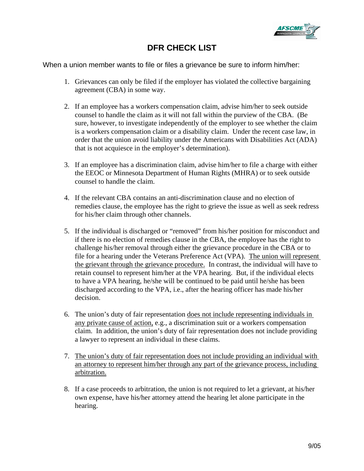

## **DFR CHECK LIST**

When a union member wants to file or files a grievance be sure to inform him/her:

- 1. Grievances can only be filed if the employer has violated the collective bargaining agreement (CBA) in some way.
- 2. If an employee has a workers compensation claim, advise him/her to seek outside counsel to handle the claim as it will not fall within the purview of the CBA. (Be sure, however, to investigate independently of the employer to see whether the claim is a workers compensation claim or a disability claim. Under the recent case law, in order that the union avoid liability under the Americans with Disabilities Act (ADA) that is not acquiesce in the employer's determination).
- 3. If an employee has a discrimination claim, advise him/her to file a charge with either the EEOC or Minnesota Department of Human Rights (MHRA) or to seek outside counsel to handle the claim.
- 4. If the relevant CBA contains an anti-discrimination clause and no election of remedies clause, the employee has the right to grieve the issue as well as seek redress for his/her claim through other channels.
- 5. If the individual is discharged or "removed" from his/her position for misconduct and if there is no election of remedies clause in the CBA, the employee has the right to challenge his/her removal through either the grievance procedure in the CBA or to file for a hearing under the Veterans Preference Act (VPA). The union will represent the grievant through the grievance procedure. In contrast, the individual will have to retain counsel to represent him/her at the VPA hearing. But, if the individual elects to have a VPA hearing, he/she will be continued to be paid until he/she has been discharged according to the VPA, i.e., after the hearing officer has made his/her decision.
- 6. The union's duty of fair representation does not include representing individuals in any private cause of action, e.g., a discrimination suit or a workers compensation claim. In addition, the union's duty of fair representation does not include providing a lawyer to represent an individual in these claims.
- 7. The union's duty of fair representation does not include providing an individual with an attorney to represent him/her through any part of the grievance process, including arbitration.
- 8. If a case proceeds to arbitration, the union is not required to let a grievant, at his/her own expense, have his/her attorney attend the hearing let alone participate in the hearing.